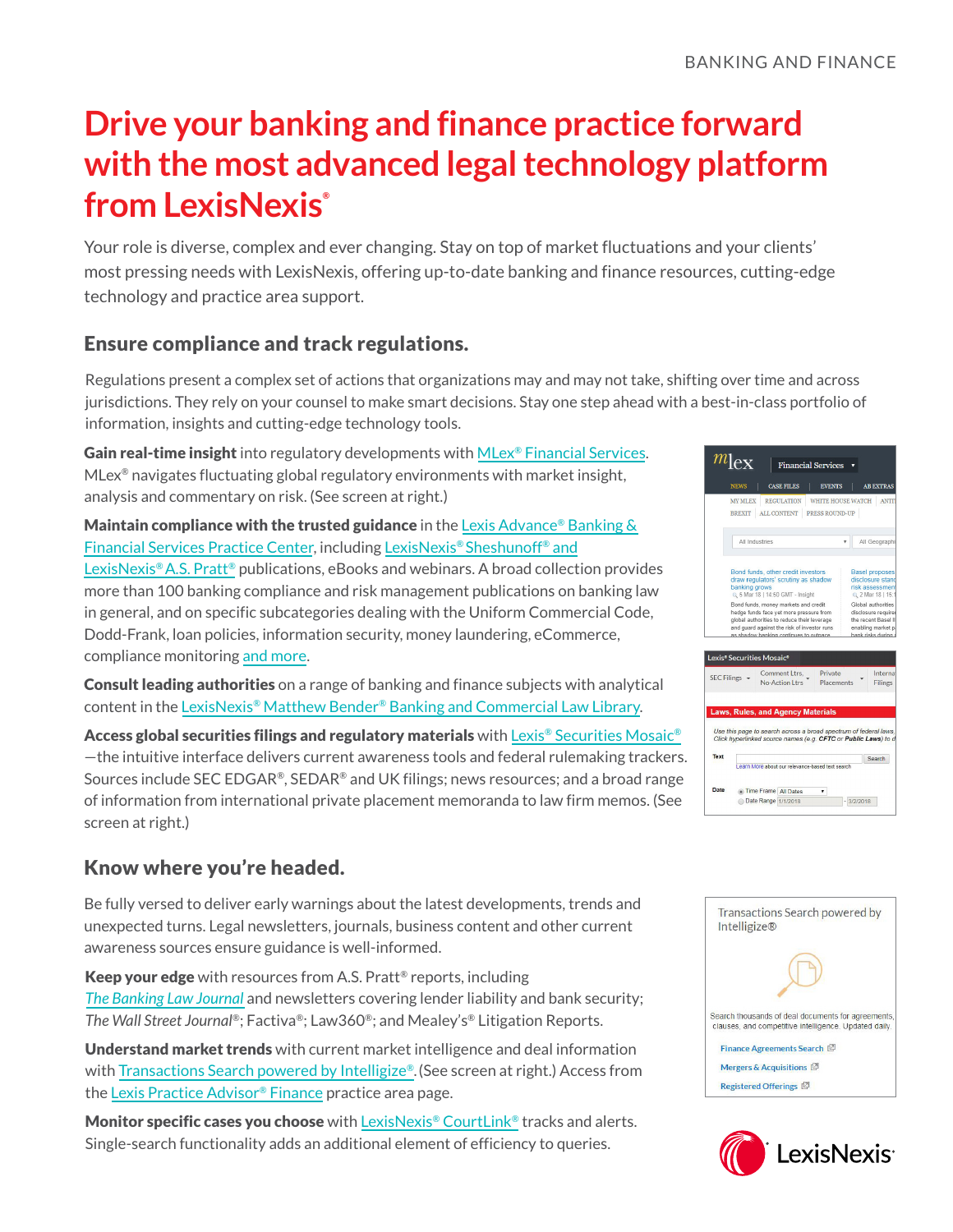# **Drive your banking and finance practice forward with the most advanced legal technology platform from LexisNexis®**

Your role is diverse, complex and ever changing. Stay on top of market fluctuations and your clients' most pressing needs with LexisNexis, offering up-to-date banking and finance resources, cutting-edge technology and practice area support.

### Ensure compliance and track regulations.

Regulations present a complex set of actions that organizations may and may not take, shifting over time and across jurisdictions. They rely on your counsel to make smart decisions. Stay one step ahead with a best-in-class portfolio of information, insights and cutting-edge technology tools.

Gain real-time insight into regulatory developments with [MLex® Financial Services](https://mlexmarketinsight.com/expertise/financial-services).  $M$ Lex<sup>®</sup> navigates fluctuating global regulatory environments with market insight, analysis and commentary on risk. (See screen at right.)

**Maintain compliance with the trusted guidance** in the Lexis Advance<sup>®</sup> Banking  $\&$ [Financial Services Practice Center](https://advance.lexis.com/api/permalink/057f9378-c9ff-4480-b489-5cd2f4430194/?context=1000516), including [LexisNexis® Sheshunoff® and](https://advance.lexis.com/api/permalink/de31c6c5-781d-4f19-bb5a-38b6b9384143/?context=1000516) [LexisNexis® A.S. Pratt®](https://advance.lexis.com/api/permalink/de31c6c5-781d-4f19-bb5a-38b6b9384143/?context=1000516) publications, eBooks and webinars. A broad collection provides more than 100 banking compliance and risk management publications on banking law in general, and on specific subcategories dealing with the Uniform Commercial Code, Dodd-Frank, loan policies, information security, money laundering, eCommerce, compliance monitoring [and more](https://www.lexisnexis.com/en-us/products/banking-law-research-compliance.page).

Consult leading authorities on a range of banking and finance subjects with analytical content in the [LexisNexis® Matthew Bender® Banking and Commercial Law Library](https://store.lexisnexis.com/categories/publishers/nondiscount-publishers-833/banking-and-commercial-law-library-lexisnexis-folio-skusku-us-ebook-00255-exe/details).

Access global securities filings and regulatory materials with [Lexis® Securities Mosaic®](https://www.lexisnexis.com/en-us/products/lexis-securities-mosaic.page) —the intuitive interface delivers current awareness tools and federal rulemaking trackers. Sources include SEC EDGAR®, SEDAR® and UK filings; news resources; and a broad range of information from international private placement memoranda to law firm memos. (See screen at right.)

# Know where you're headed.

Be fully versed to deliver early warnings about the latest developments, trends and unexpected turns. Legal newsletters, journals, business content and other current awareness sources ensure guidance is well-informed.

Keep your edge with resources from A.S. Pratt<sup>®</sup> reports, including *[The Banking Law Journal](https://store.lexisnexis.com/products/the-banking-law-journal-skuusSku-us-819)* and newsletters covering lender liability and bank security; *The Wall Street Journal®*; Factiva®; Law360®; and Mealey's® Litigation Reports.

Understand market trends with current market intelligence and deal information with [Transactions Search powered by Intelligize®.](https://www.lexisnexis.com/en-us/products/lexis-practice-advisor/transaction-search-feature.page)(See screen at right.) Access from the [Lexis Practice Advisor® Finance](https://advance.lexis.com/api/permalink/67028aa6-c4ad-466b-8644-8092fae7858d/?context=1000522) practice area page.

Monitor specific cases you choose with [LexisNexis® CourtLink®](https://www.lexisnexis.com/en-us/products/courtlink-for-corporate-or-professionals.page) tracks and alerts. Single-search functionality adds an additional element of efficiency to queries.